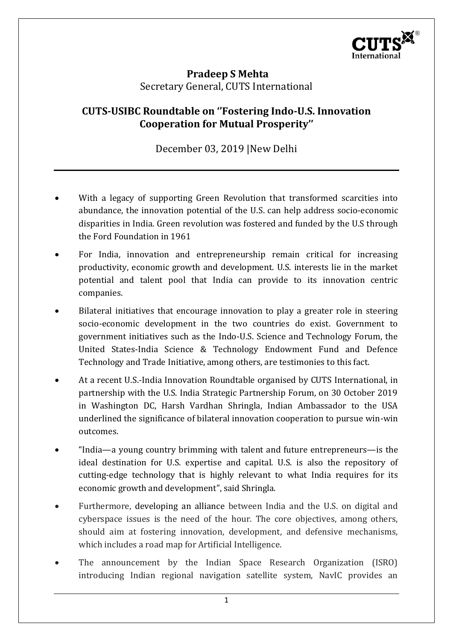

## **Pradeep S Mehta** Secretary General, CUTS International

## **CUTS-USIBC Roundtable on ''Fostering Indo-U.S. Innovation Cooperation for Mutual Prosperity''**

December 03, 2019 |New Delhi

- With a legacy of supporting Green Revolution that transformed scarcities into abundance, the innovation potential of the U.S. can help address socio-economic disparities in India. Green revolution was fostered and funded by the U.S through the Ford Foundation in 1961
- For India, innovation and entrepreneurship remain critical for increasing productivity, economic growth and development. U.S. interests lie in the market potential and talent pool that India can provide to its innovation centric companies.
- Bilateral initiatives that encourage innovation to play a greater role in steering socio-economic development in the two countries do exist. Government to government initiatives such as the Indo-U.S. Science and Technology Forum, the United States-India Science & Technology Endowment Fund and Defence Technology and Trade Initiative, among others, are testimonies to this fact.
- At a recent U.S.-India Innovation Roundtable organised by CUTS International, in partnership with the U.S. India Strategic Partnership Forum, on 30 October 2019 in Washington DC, Harsh Vardhan Shringla, Indian Ambassador to the USA underlined the significance of bilateral innovation cooperation to pursue win-win outcomes.
- "India—a young country brimming with talent and future entrepreneurs—is the ideal destination for U.S. expertise and capital. U.S. is also the repository of cutting-edge technology that is highly relevant to what India requires for its economic growth and development", said Shringla.
- Furthermore, developing an alliance between India and the U.S. on digital and cyberspace issues is the need of the hour. The core objectives, among others, should aim at fostering innovation, development, and defensive mechanisms, which includes a road map for Artificial Intelligence.
- The announcement by the Indian Space Research Organization (ISRO) introducing Indian regional navigation satellite system, NavIC provides an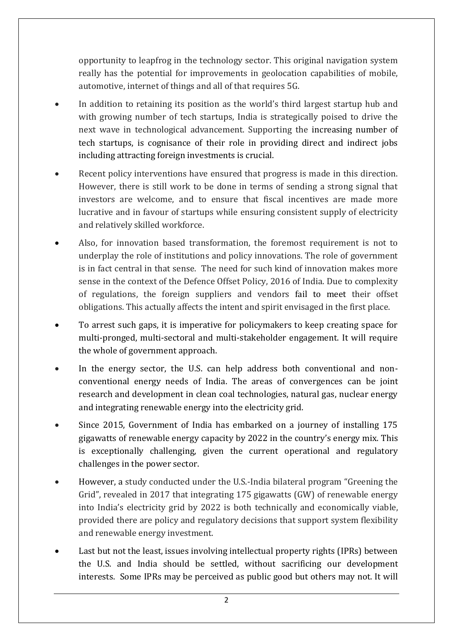opportunity to leapfrog in the technology sector. This original navigation system really has the potential for improvements in geolocation capabilities of mobile, automotive, internet of things and all of that requires 5G.

- In addition to retaining its position as the world's third largest startup hub and with growing number of tech startups, India is strategically poised to drive the next wave in technological advancement. Supporting the increasing number of tech startups, is cognisance of their role in providing direct and indirect jobs including attracting foreign investments is crucial.
- Recent policy interventions have ensured that progress is made in this direction. However, there is still work to be done in terms of sending a strong signal that investors are welcome, and to ensure that fiscal incentives are made more lucrative and in favour of startups while ensuring consistent supply of electricity and relatively skilled workforce.
- Also, for innovation based transformation, the foremost requirement is not to underplay the role of institutions and policy innovations. The role of government is in fact central in that sense. The need for such kind of innovation makes more sense in the context of the Defence Offset Policy, 2016 of India. Due to complexity of regulations, the foreign suppliers and vendors fail to meet their offset obligations. This actually affects the intent and spirit envisaged in the first place.
- To arrest such gaps, it is imperative for policymakers to keep creating space for multi-pronged, multi-sectoral and multi-stakeholder engagement. It will require the whole of government approach.
- In the energy sector, the U.S. can help address both conventional and nonconventional energy needs of India. The areas of convergences can be joint research and development in clean coal technologies, natural gas, nuclear energy and integrating renewable energy into the electricity grid.
- Since 2015, Government of India has embarked on a journey of installing 175 gigawatts of renewable energy capacity by 2022 in the country's energy mix. This is exceptionally challenging, given the current operational and regulatory challenges in the power sector.
- However, a study conducted under the U.S.-India bilateral program "Greening the Grid", revealed in 2017 that integrating 175 gigawatts (GW) of renewable energy into India's electricity grid by 2022 is both technically and economically viable, provided there are policy and regulatory decisions that support system flexibility and renewable energy investment.
- Last but not the least, issues involving intellectual property rights (IPRs) between the U.S. and India should be settled, without sacrificing our development interests. Some IPRs may be perceived as public good but others may not. It will